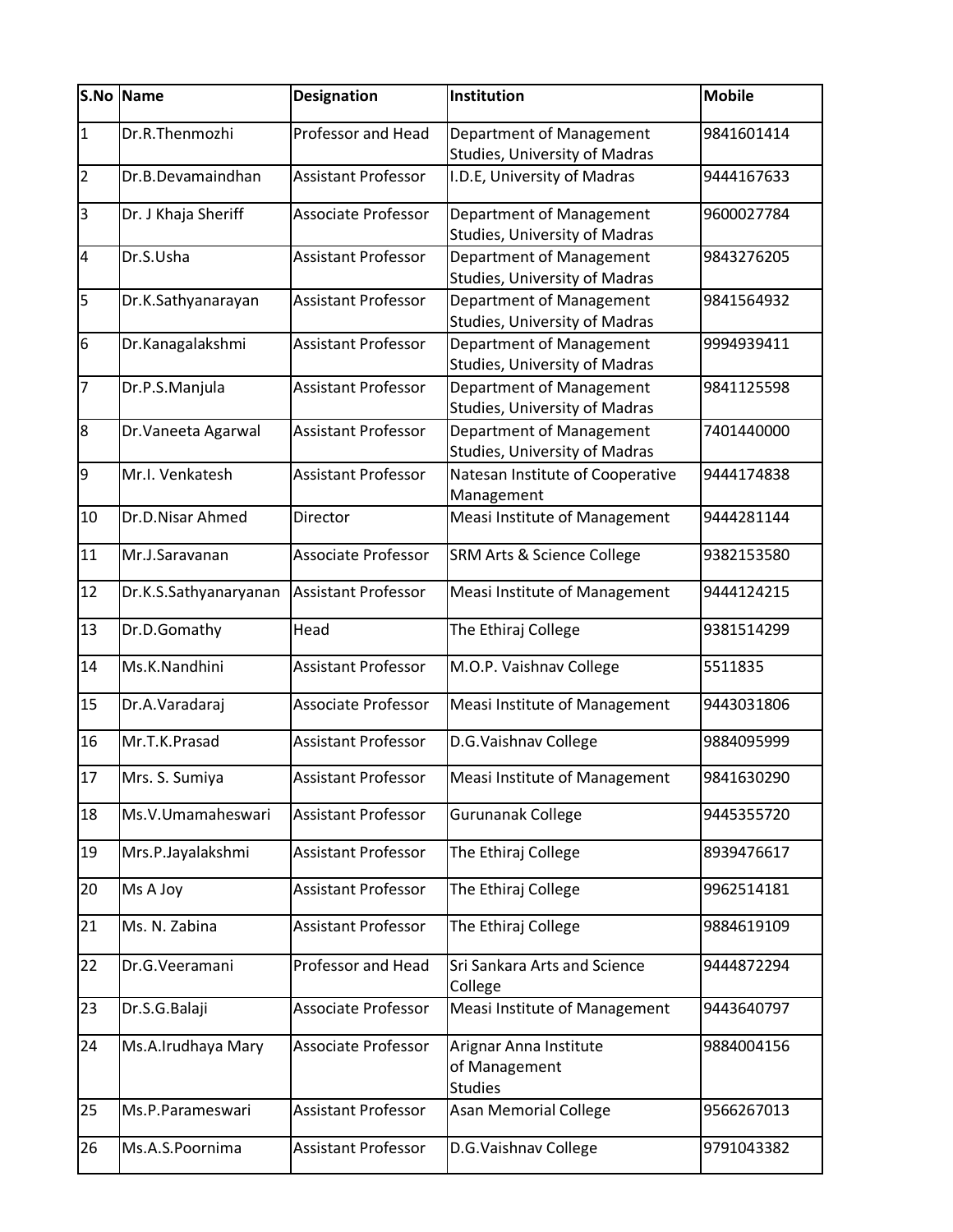|                 | S.No Name             | <b>Designation</b>         | Institution                                                             | <b>Mobile</b> |
|-----------------|-----------------------|----------------------------|-------------------------------------------------------------------------|---------------|
| $\overline{1}$  | Dr.R.Thenmozhi        | <b>Professor and Head</b>  | Department of Management<br><b>Studies, University of Madras</b>        | 9841601414    |
| $\overline{2}$  | Dr.B.Devamaindhan     | Assistant Professor        | I.D.E, University of Madras                                             | 9444167633    |
| 3               | Dr. J Khaja Sheriff   | <b>Associate Professor</b> | Department of Management<br><b>Studies, University of Madras</b>        | 9600027784    |
| $\overline{4}$  | Dr.S.Usha             | <b>Assistant Professor</b> | <b>Department of Management</b><br><b>Studies, University of Madras</b> | 9843276205    |
| 5               | Dr.K.Sathyanarayan    | <b>Assistant Professor</b> | Department of Management<br><b>Studies, University of Madras</b>        | 9841564932    |
| $6\phantom{.}6$ | Dr.Kanagalakshmi      | <b>Assistant Professor</b> | Department of Management<br><b>Studies, University of Madras</b>        | 9994939411    |
| $\overline{7}$  | Dr.P.S.Manjula        | <b>Assistant Professor</b> | <b>Department of Management</b><br><b>Studies, University of Madras</b> | 9841125598    |
| 8               | Dr. Vaneeta Agarwal   | <b>Assistant Professor</b> | Department of Management<br><b>Studies, University of Madras</b>        | 7401440000    |
| 9               | Mr.I. Venkatesh       | <b>Assistant Professor</b> | Natesan Institute of Cooperative<br>Management                          | 9444174838    |
| 10              | Dr.D.Nisar Ahmed      | Director                   | Measi Institute of Management                                           | 9444281144    |
| 11              | Mr.J.Saravanan        | Associate Professor        | <b>SRM Arts &amp; Science College</b>                                   | 9382153580    |
| 12              | Dr.K.S.Sathyanaryanan | <b>Assistant Professor</b> | Measi Institute of Management                                           | 9444124215    |
| 13              | Dr.D.Gomathy          | Head                       | The Ethiraj College                                                     | 9381514299    |
| 14              | Ms.K.Nandhini         | <b>Assistant Professor</b> | M.O.P. Vaishnav College                                                 | 5511835       |
| 15              | Dr.A.Varadaraj        | Associate Professor        | Measi Institute of Management                                           | 9443031806    |
| 16              | Mr.T.K.Prasad         | <b>Assistant Professor</b> | D.G.Vaishnav College                                                    | 9884095999    |
| 17              | Mrs. S. Sumiya        | Assistant Professor        | Measi Institute of Management                                           | 9841630290    |
| 18              | Ms.V.Umamaheswari     | <b>Assistant Professor</b> | Gurunanak College                                                       | 9445355720    |
| 19              | Mrs.P.Jayalakshmi     | <b>Assistant Professor</b> | The Ethiraj College                                                     | 8939476617    |
| 20              | Ms A Joy              | <b>Assistant Professor</b> | The Ethiraj College                                                     | 9962514181    |
| 21              | Ms. N. Zabina         | <b>Assistant Professor</b> | The Ethiraj College                                                     | 9884619109    |
| 22              | Dr.G.Veeramani        | Professor and Head         | <b>Sri Sankara Arts and Science</b><br>College                          | 9444872294    |
| 23              | Dr.S.G.Balaji         | Associate Professor        | Measi Institute of Management                                           | 9443640797    |
| 24              | Ms.A.Irudhaya Mary    | Associate Professor        | Arignar Anna Institute<br>of Management<br><b>Studies</b>               | 9884004156    |
| 25              | Ms.P.Parameswari      | <b>Assistant Professor</b> | <b>Asan Memorial College</b>                                            | 9566267013    |
| 26              | Ms.A.S.Poornima       | Assistant Professor        | D.G.Vaishnav College                                                    | 9791043382    |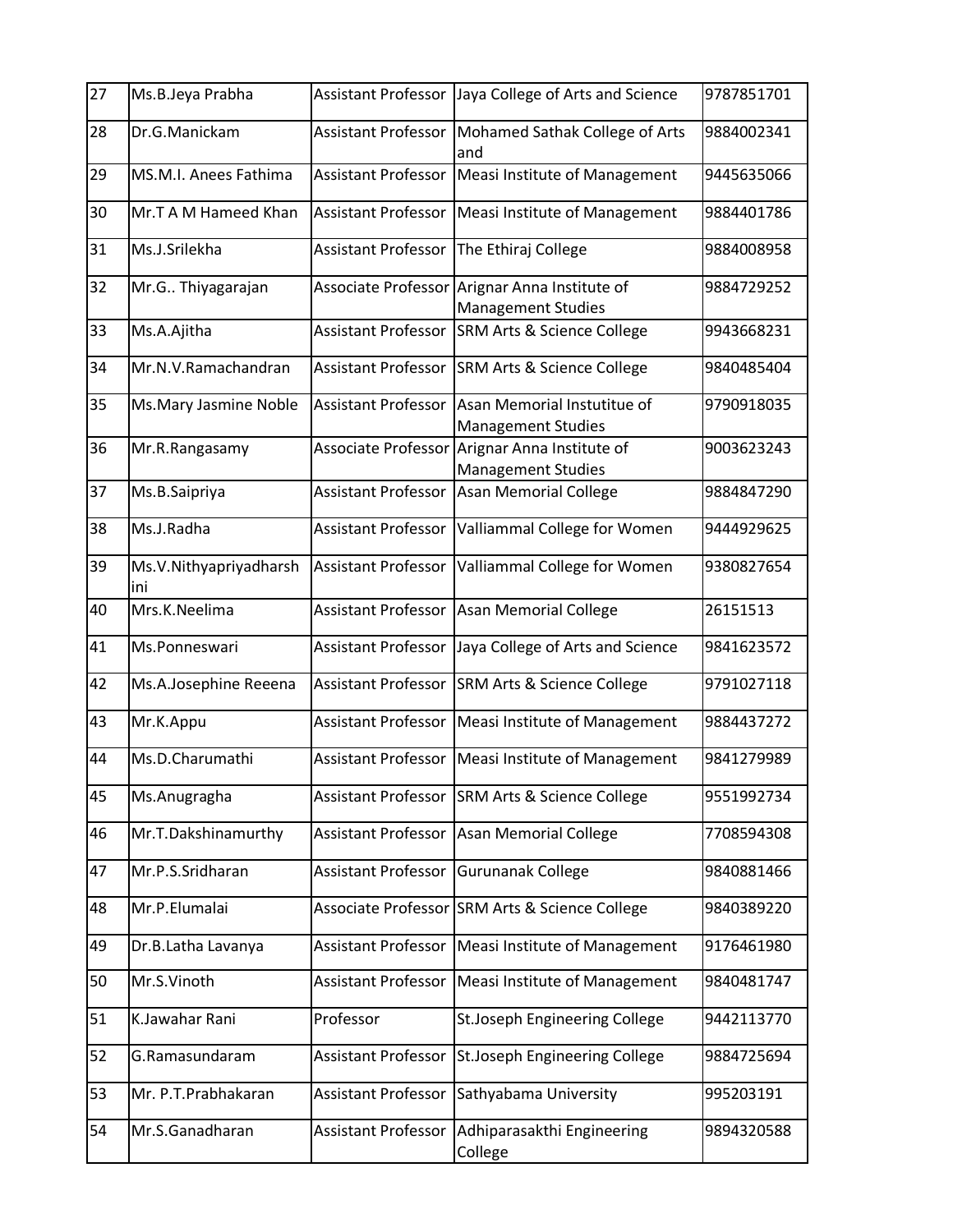| 27 | Ms.B.Jeya Prabha              | <b>Assistant Professor</b> | Jaya College of Arts and Science                         | 9787851701 |
|----|-------------------------------|----------------------------|----------------------------------------------------------|------------|
| 28 | Dr.G.Manickam                 | <b>Assistant Professor</b> | Mohamed Sathak College of Arts<br>and                    | 9884002341 |
| 29 | MS.M.I. Anees Fathima         | <b>Assistant Professor</b> | Measi Institute of Management                            | 9445635066 |
| 30 | Mr.T A M Hameed Khan          | <b>Assistant Professor</b> | Measi Institute of Management                            | 9884401786 |
| 31 | Ms.J.Srilekha                 | <b>Assistant Professor</b> | The Ethiraj College                                      | 9884008958 |
| 32 | Mr.G Thiyagarajan             | Associate Professor        | Arignar Anna Institute of<br><b>Management Studies</b>   | 9884729252 |
| 33 | Ms.A.Ajitha                   | <b>Assistant Professor</b> | <b>SRM Arts &amp; Science College</b>                    | 9943668231 |
| 34 | Mr.N.V.Ramachandran           | <b>Assistant Professor</b> | <b>SRM Arts &amp; Science College</b>                    | 9840485404 |
| 35 | Ms. Mary Jasmine Noble        | <b>Assistant Professor</b> | Asan Memorial Instutitue of<br><b>Management Studies</b> | 9790918035 |
| 36 | Mr.R.Rangasamy                | Associate Professor        | Arignar Anna Institute of<br><b>Management Studies</b>   | 9003623243 |
| 37 | Ms.B.Saipriya                 | <b>Assistant Professor</b> | <b>Asan Memorial College</b>                             | 9884847290 |
| 38 | Ms.J.Radha                    | <b>Assistant Professor</b> | Valliammal College for Women                             | 9444929625 |
| 39 | Ms.V.Nithyapriyadharsh<br>ini | <b>Assistant Professor</b> | Valliammal College for Women                             | 9380827654 |
| 40 | Mrs.K.Neelima                 | <b>Assistant Professor</b> | <b>Asan Memorial College</b>                             | 26151513   |
| 41 | Ms.Ponneswari                 | <b>Assistant Professor</b> | Jaya College of Arts and Science                         | 9841623572 |
| 42 | Ms.A.Josephine Reeena         | <b>Assistant Professor</b> | <b>SRM Arts &amp; Science College</b>                    | 9791027118 |
| 43 | Mr.K.Appu                     | <b>Assistant Professor</b> | Measi Institute of Management                            | 9884437272 |
| 44 | Ms.D.Charumathi               | <b>Assistant Professor</b> | Measi Institute of Management                            | 9841279989 |
| 45 | Ms.Anugragha                  | <b>Assistant Professor</b> | SRM Arts & Science College                               | 9551992734 |
| 46 | Mr.T.Dakshinamurthy           | <b>Assistant Professor</b> | <b>Asan Memorial College</b>                             | 7708594308 |
| 47 | Mr.P.S.Sridharan              | <b>Assistant Professor</b> | <b>Gurunanak College</b>                                 | 9840881466 |
| 48 | Mr.P.Elumalai                 |                            | Associate Professor SRM Arts & Science College           | 9840389220 |
| 49 | Dr.B.Latha Lavanya            | <b>Assistant Professor</b> | Measi Institute of Management                            | 9176461980 |
| 50 | Mr.S.Vinoth                   | <b>Assistant Professor</b> | Measi Institute of Management                            | 9840481747 |
| 51 | K.Jawahar Rani                | Professor                  | St.Joseph Engineering College                            | 9442113770 |
| 52 | G.Ramasundaram                | <b>Assistant Professor</b> | St.Joseph Engineering College                            | 9884725694 |
| 53 | Mr. P.T.Prabhakaran           | <b>Assistant Professor</b> | Sathyabama University                                    | 995203191  |
| 54 | Mr.S.Ganadharan               | <b>Assistant Professor</b> | Adhiparasakthi Engineering<br>College                    | 9894320588 |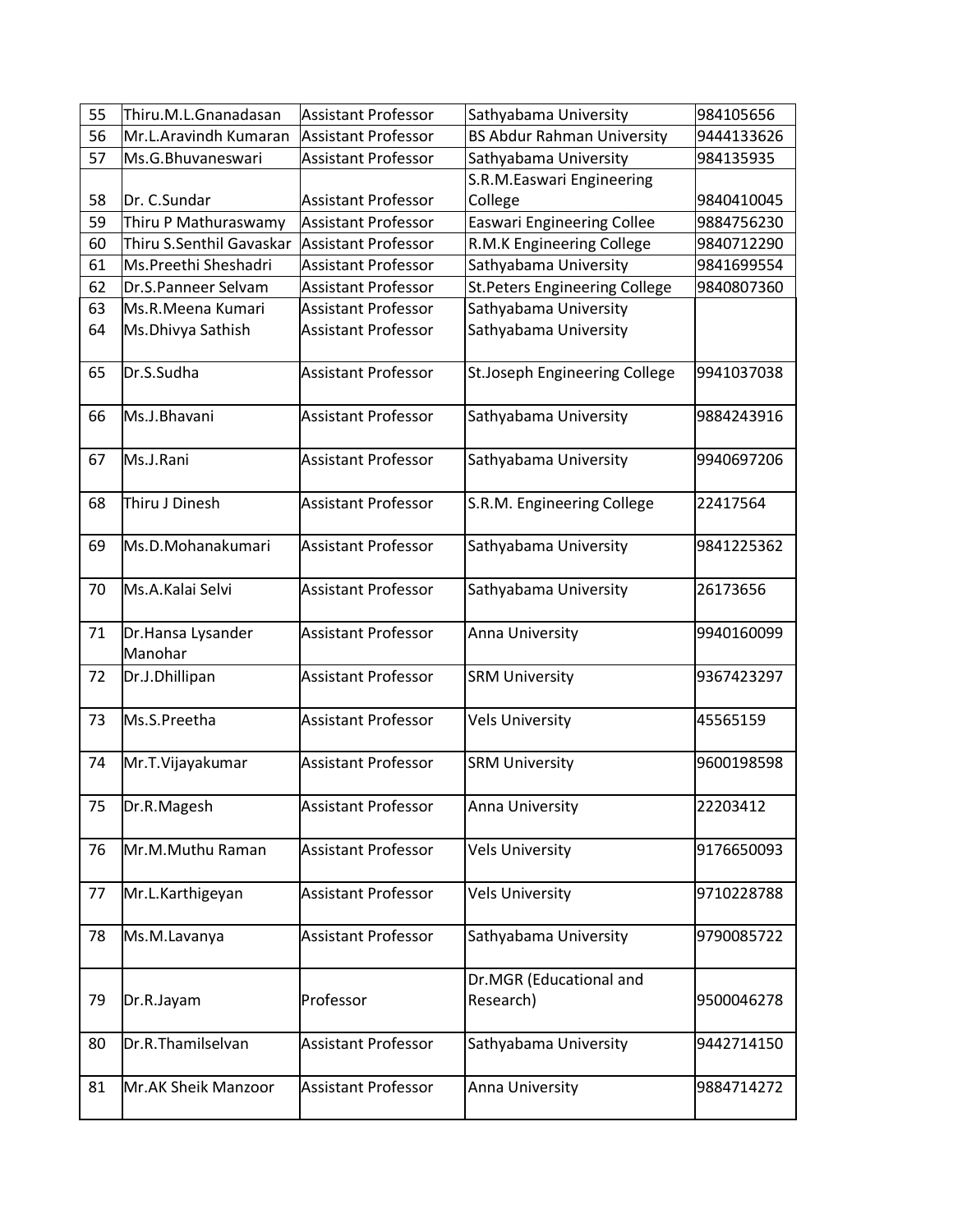| 55 | Thiru.M.L.Gnanadasan          | <b>Assistant Professor</b> | Sathyabama University                | 984105656  |
|----|-------------------------------|----------------------------|--------------------------------------|------------|
| 56 | Mr.L.Aravindh Kumaran         | <b>Assistant Professor</b> | <b>BS Abdur Rahman University</b>    | 9444133626 |
| 57 | Ms.G.Bhuvaneswari             | <b>Assistant Professor</b> | Sathyabama University                | 984135935  |
|    |                               |                            | S.R.M.Easwari Engineering            |            |
| 58 | Dr. C.Sundar                  | <b>Assistant Professor</b> | College                              | 9840410045 |
| 59 | Thiru P Mathuraswamy          | <b>Assistant Professor</b> | <b>Easwari Engineering Collee</b>    | 9884756230 |
| 60 | Thiru S.Senthil Gavaskar      | <b>Assistant Professor</b> | R.M.K Engineering College            | 9840712290 |
| 61 | Ms.Preethi Sheshadri          | <b>Assistant Professor</b> | Sathyabama University                | 9841699554 |
| 62 | Dr.S.Panneer Selvam           | <b>Assistant Professor</b> | <b>St.Peters Engineering College</b> | 9840807360 |
| 63 | Ms.R.Meena Kumari             | <b>Assistant Professor</b> | Sathyabama University                |            |
| 64 | Ms.Dhivya Sathish             | <b>Assistant Professor</b> | Sathyabama University                |            |
| 65 | Dr.S.Sudha                    | <b>Assistant Professor</b> | St.Joseph Engineering College        | 9941037038 |
| 66 | Ms.J.Bhavani                  | <b>Assistant Professor</b> | Sathyabama University                | 9884243916 |
| 67 | Ms.J.Rani                     | <b>Assistant Professor</b> | Sathyabama University                | 9940697206 |
| 68 | Thiru J Dinesh                | <b>Assistant Professor</b> | S.R.M. Engineering College           | 22417564   |
| 69 | Ms.D.Mohanakumari             | <b>Assistant Professor</b> | Sathyabama University                | 9841225362 |
| 70 | Ms.A.Kalai Selvi              | <b>Assistant Professor</b> | Sathyabama University                | 26173656   |
| 71 | Dr. Hansa Lysander<br>Manohar | <b>Assistant Professor</b> | Anna University                      | 9940160099 |
| 72 | Dr.J.Dhillipan                | <b>Assistant Professor</b> | <b>SRM University</b>                | 9367423297 |
| 73 | Ms.S.Preetha                  | <b>Assistant Professor</b> | <b>Vels University</b>               | 45565159   |
| 74 | Mr.T.Vijayakumar              | <b>Assistant Professor</b> | <b>SRM University</b>                | 9600198598 |
| 75 | Dr.R.Magesh                   | <b>Assistant Professor</b> | Anna University                      | 22203412   |
| 76 | Mr.M.Muthu Raman              | <b>Assistant Professor</b> | <b>Vels University</b>               | 9176650093 |
| 77 | Mr.L.Karthigeyan              | <b>Assistant Professor</b> | <b>Vels University</b>               | 9710228788 |
| 78 | Ms.M.Lavanya                  | <b>Assistant Professor</b> | Sathyabama University                | 9790085722 |
| 79 | Dr.R.Jayam                    | Professor                  | Dr.MGR (Educational and<br>Research) | 9500046278 |
| 80 | Dr.R.Thamilselvan             | <b>Assistant Professor</b> | Sathyabama University                | 9442714150 |
| 81 | Mr.AK Sheik Manzoor           | <b>Assistant Professor</b> | Anna University                      | 9884714272 |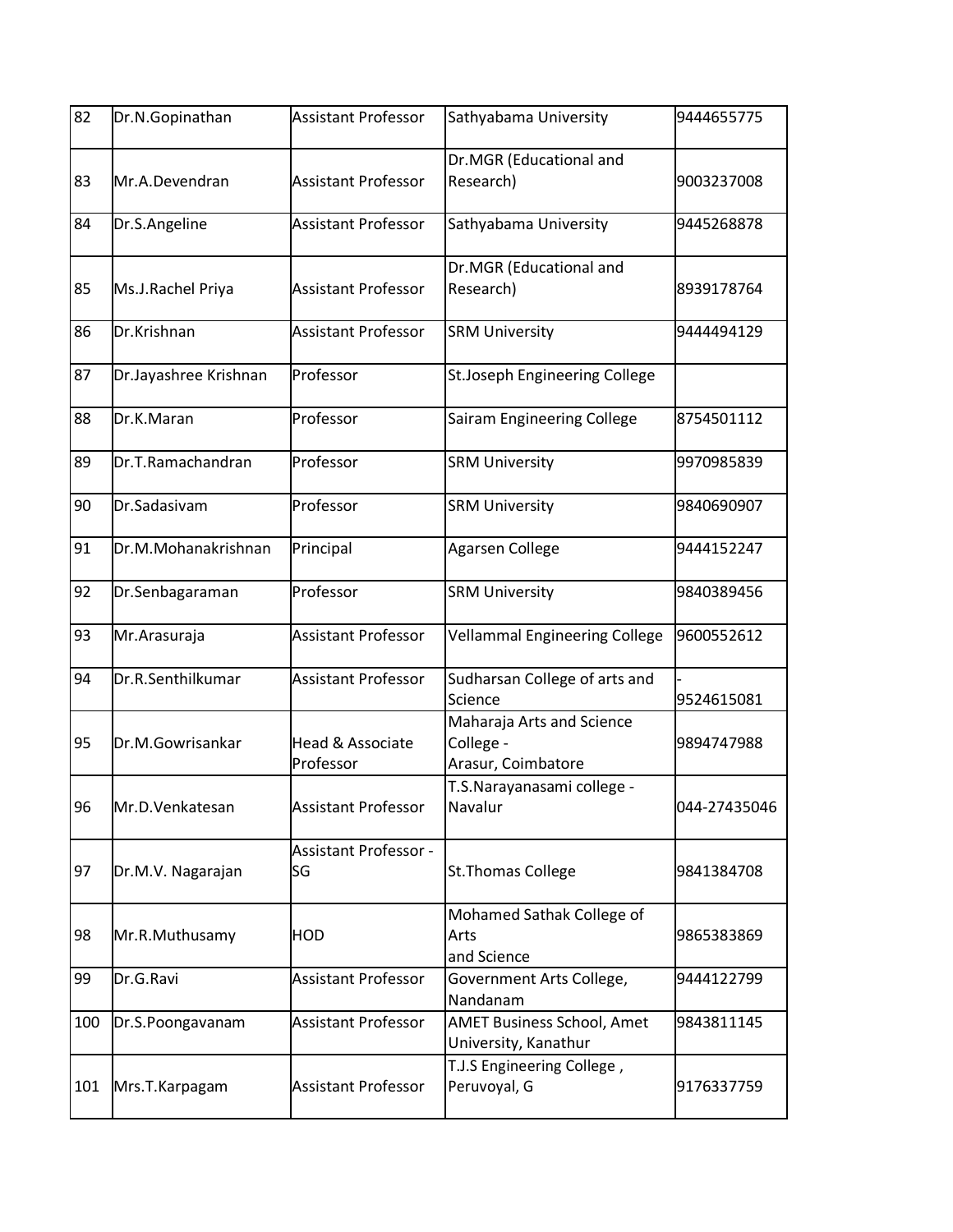| 82  | Dr.N.Gopinathan       | <b>Assistant Professor</b>               | Sathyabama University                                        | 9444655775   |
|-----|-----------------------|------------------------------------------|--------------------------------------------------------------|--------------|
| 83  | Mr.A.Devendran        | <b>Assistant Professor</b>               | Dr.MGR (Educational and<br>Research)                         | 9003237008   |
| 84  | Dr.S.Angeline         | <b>Assistant Professor</b>               | Sathyabama University                                        | 9445268878   |
| 85  | Ms.J.Rachel Priya     | <b>Assistant Professor</b>               | Dr.MGR (Educational and<br>Research)                         | 8939178764   |
| 86  | Dr.Krishnan           | <b>Assistant Professor</b>               | <b>SRM University</b>                                        | 9444494129   |
| 87  | Dr.Jayashree Krishnan | Professor                                | St.Joseph Engineering College                                |              |
| 88  | Dr.K.Maran            | Professor                                | Sairam Engineering College                                   | 8754501112   |
| 89  | Dr.T.Ramachandran     | Professor                                | <b>SRM University</b>                                        | 9970985839   |
| 90  | Dr.Sadasivam          | Professor                                | <b>SRM University</b>                                        | 9840690907   |
| 91  | Dr.M.Mohanakrishnan   | Principal                                | Agarsen College                                              | 9444152247   |
| 92  | Dr.Senbagaraman       | Professor                                | <b>SRM University</b>                                        | 9840389456   |
| 93  | Mr.Arasuraja          | <b>Assistant Professor</b>               | <b>Vellammal Engineering College</b>                         | 9600552612   |
| 94  | Dr.R.Senthilkumar     | <b>Assistant Professor</b>               | Sudharsan College of arts and<br>Science                     | 9524615081   |
| 95  | Dr.M.Gowrisankar      | <b>Head &amp; Associate</b><br>Professor | Maharaja Arts and Science<br>College -<br>Arasur, Coimbatore | 9894747988   |
| 96  | Mr.D.Venkatesan       | <b>Assistant Professor</b>               | T.S.Narayanasami college -<br>Navalur                        | 044-27435046 |
| 97  | Dr.M.V. Nagarajan     | <b>Assistant Professor -</b><br>lSG      | <b>St.Thomas College</b>                                     | 9841384708   |
| 98  | Mr.R.Muthusamy        | <b>HOD</b>                               | Mohamed Sathak College of<br>Arts<br>and Science             | 9865383869   |
| 99  | Dr.G.Ravi             | <b>Assistant Professor</b>               | Government Arts College,<br>Nandanam                         | 9444122799   |
| 100 | Dr.S.Poongavanam      | <b>Assistant Professor</b>               | AMET Business School, Amet<br>University, Kanathur           | 9843811145   |
| 101 | Mrs.T.Karpagam        | <b>Assistant Professor</b>               | T.J.S Engineering College,<br>Peruvoyal, G                   | 9176337759   |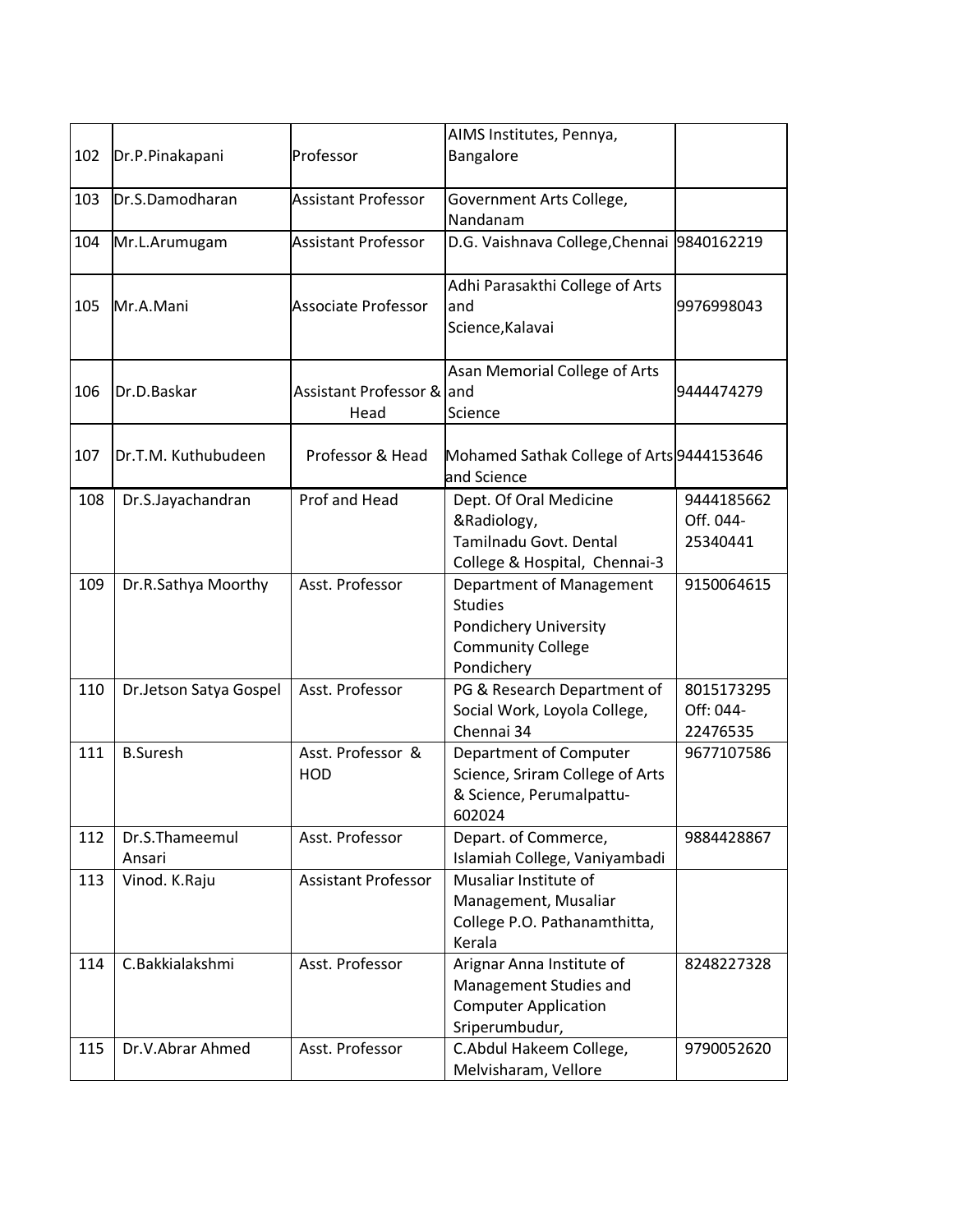| 102 | Dr.P.Pinakapani          | Professor                       | AIMS Institutes, Pennya,<br>Bangalore                                                                         |                                     |
|-----|--------------------------|---------------------------------|---------------------------------------------------------------------------------------------------------------|-------------------------------------|
| 103 | Dr.S.Damodharan          | <b>Assistant Professor</b>      | Government Arts College,<br>Nandanam                                                                          |                                     |
| 104 | Mr.L.Arumugam            | <b>Assistant Professor</b>      | D.G. Vaishnava College, Chennai 9840162219                                                                    |                                     |
| 105 | Mr.A.Mani                | <b>Associate Professor</b>      | Adhi Parasakthi College of Arts<br>and<br>Science, Kalavai                                                    | 9976998043                          |
| 106 | Dr.D.Baskar              | Assistant Professor &<br>Head   | Asan Memorial College of Arts<br>land<br>Science                                                              | 9444474279                          |
| 107 | Dr.T.M. Kuthubudeen      | Professor & Head                | Mohamed Sathak College of Arts 9444153646<br>and Science                                                      |                                     |
| 108 | Dr.S.Jayachandran        | Prof and Head                   | Dept. Of Oral Medicine<br>&Radiology,<br>Tamilnadu Govt. Dental<br>College & Hospital, Chennai-3              | 9444185662<br>Off. 044-<br>25340441 |
| 109 | Dr.R.Sathya Moorthy      | Asst. Professor                 | Department of Management<br><b>Studies</b><br>Pondichery University<br><b>Community College</b><br>Pondichery | 9150064615                          |
| 110 | Dr.Jetson Satya Gospel   | Asst. Professor                 | PG & Research Department of<br>Social Work, Loyola College,<br>Chennai 34                                     | 8015173295<br>Off: 044-<br>22476535 |
| 111 | <b>B.Suresh</b>          | Asst. Professor &<br><b>HOD</b> | Department of Computer<br>Science, Sriram College of Arts<br>& Science, Perumalpattu-<br>602024               | 9677107586                          |
| 112 | Dr.S.Thameemul<br>Ansari | Asst. Professor                 | Depart. of Commerce,<br>Islamiah College, Vaniyambadi                                                         | 9884428867                          |
| 113 | Vinod. K.Raju            | <b>Assistant Professor</b>      | Musaliar Institute of<br>Management, Musaliar<br>College P.O. Pathanamthitta,<br>Kerala                       |                                     |
| 114 | C.Bakkialakshmi          | Asst. Professor                 | Arignar Anna Institute of<br>Management Studies and<br><b>Computer Application</b><br>Sriperumbudur,          | 8248227328                          |
| 115 | Dr.V.Abrar Ahmed         | Asst. Professor                 | C.Abdul Hakeem College,<br>Melvisharam, Vellore                                                               | 9790052620                          |